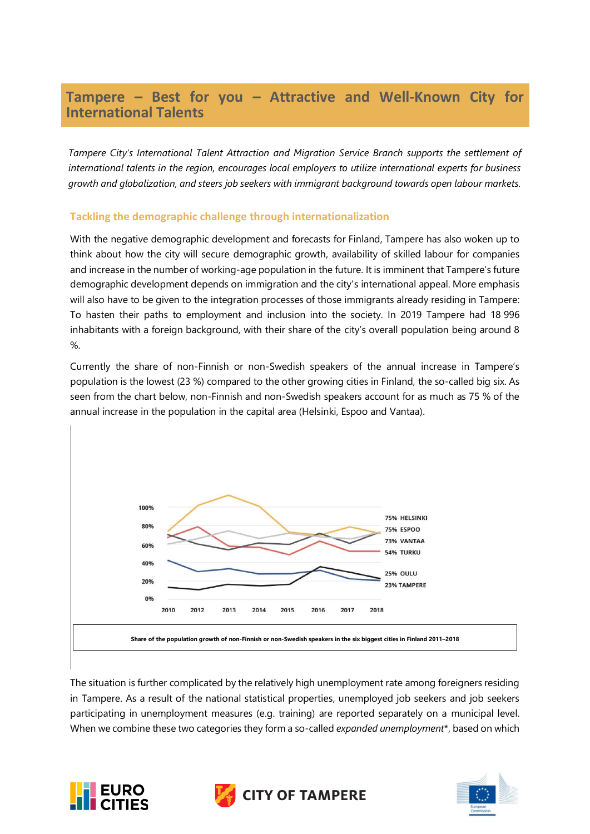# **Tampere – Best for you – Attractive and Well-Known City for International Talents**

*Tampere City's International Talent Attraction and Migration Service Branch supports the settlement of international talents in the region, encourages local employers to utilize international experts for business growth and globalization, and steers job seekers with immigrant background towards open labour markets.* 

## **Tackling the demographic challenge through internationalization**

With the negative demographic development and forecasts for Finland, Tampere has also woken up to think about how the city will secure demographic growth, availability of skilled labour for companies and increase in the number of working-age population in the future. It is imminent that Tampere's future demographic development depends on immigration and the city's international appeal. More emphasis will also have to be given to the integration processes of those immigrants already residing in Tampere: To hasten their paths to employment and inclusion into the society. In 2019 Tampere had 18 996 inhabitants with a foreign background, with their share of the city's overall population being around 8  $\%$ .

Currently the share of non-Finnish or non-Swedish speakers of the annual increase in Tampere's population is the lowest (23 %) compared to the other growing cities in Finland, the so-called big six. As seen from the chart below, non-Finnish and non-Swedish speakers account for as much as 75 % of the annual increase in the population in the capital area (Helsinki, Espoo and Vantaa).



The situation is further complicated by the relatively high unemployment rate among foreigners residing in Tampere. As a result of the national statistical properties, unemployed job seekers and job seekers participating in unemployment measures (e.g. training) are reported separately on a municipal level. When we combine these two categories they form a so-called *expanded unemployment*\*, based on which





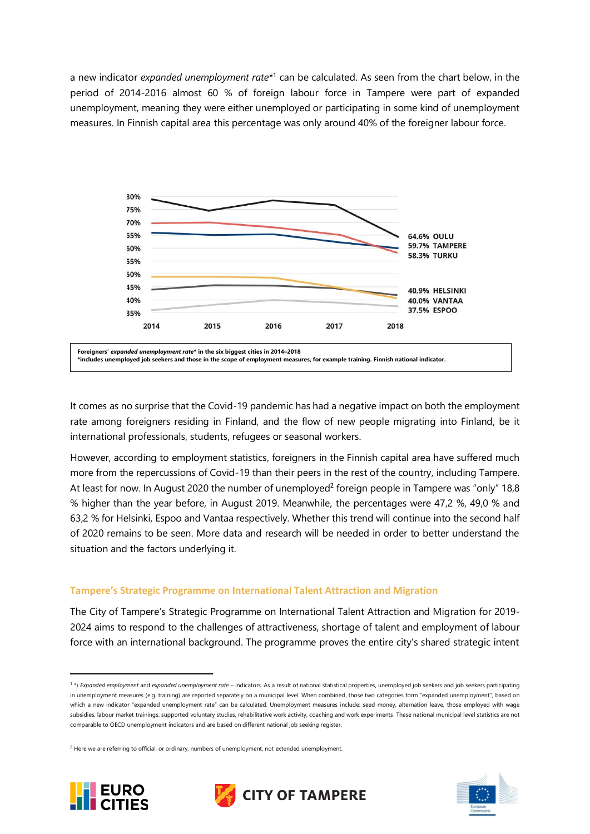a new indicator *expanded unemployment rate*<sup>\*1</sup> can be calculated. As seen from the chart below, in the period of 2014-2016 almost 60 % of foreign labour force in Tampere were part of expanded unemployment, meaning they were either unemployed or participating in some kind of unemployment measures. In Finnish capital area this percentage was only around 40% of the foreigner labour force.



It comes as no surprise that the Covid-19 pandemic has had a negative impact on both the employment rate among foreigners residing in Finland, and the flow of new people migrating into Finland, be it international professionals, students, refugees or seasonal workers.

However, according to employment statistics, foreigners in the Finnish capital area have suffered much more from the repercussions of Covid-19 than their peers in the rest of the country, including Tampere. At least for now. In August 2020 the number of unemployed<sup>2</sup> foreign people in Tampere was "only" 18,8 % higher than the year before, in August 2019. Meanwhile, the percentages were 47,2 %, 49,0 % and 63,2 % for Helsinki, Espoo and Vantaa respectively. Whether this trend will continue into the second half of 2020 remains to be seen. More data and research will be needed in order to better understand the situation and the factors underlying it.

#### **Tampere's Strategic Programme on International Talent Attraction and Migration**

The City of Tampere's Strategic Programme on International Talent Attraction and Migration for 2019- 2024 aims to respond to the challenges of attractiveness, shortage of talent and employment of labour force with an international background. The programme proves the entire city's shared strategic intent

<sup>&</sup>lt;sup>2</sup> Here we are referring to official, or ordinary, numbers of unemployment, not extended unemployment.







<sup>&</sup>lt;sup>1</sup>\*) *Expanded employment* and *expanded unemployment rate* – indicators. As a result of national statistical properties, unemployed job seekers and job seekers participating in unemployment measures (e.g. training) are reported separately on a municipal level. When combined, those two categories form "expanded unemployment", based on which a new indicator "expanded unemployment rate" can be calculated. Unemployment measures include: seed money, alternation leave, those employed with wage subsidies, labour market trainings, supported voluntary studies, rehabilitative work activity, coaching and work experiments. These national municipal level statistics are not comparable to OECD unemployment indicators and are based on different national job seeking register.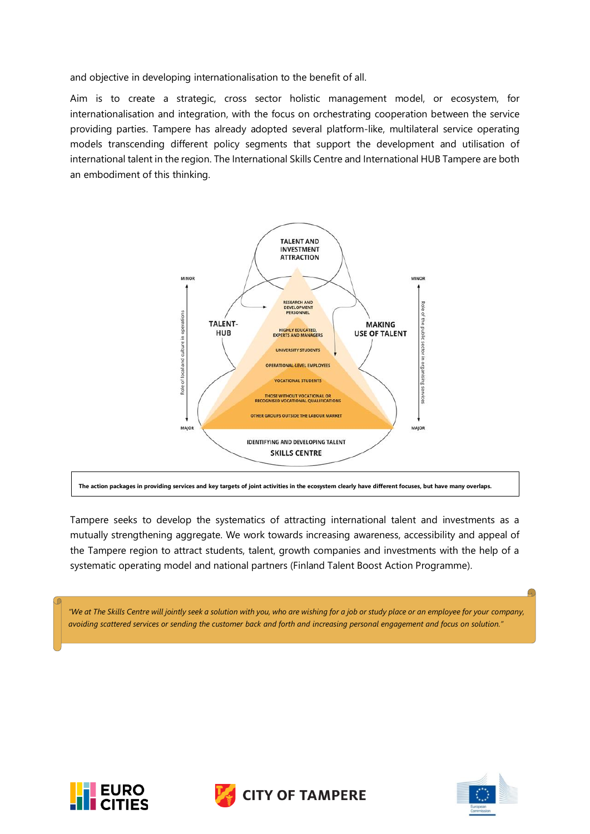and objective in developing internationalisation to the benefit of all.

Aim is to create a strategic, cross sector holistic management model, or ecosystem, for internationalisation and integration, with the focus on orchestrating cooperation between the service providing parties. Tampere has already adopted several platform-like, multilateral service operating models transcending different policy segments that support the development and utilisation of international talent in the region. The International Skills Centre and International HUB Tampere are both an embodiment of this thinking.



**The action packages in providing services and key targets of joint activities in the ecosystem clearly have different focuses, but have many overlaps.**

Tampere seeks to develop the systematics of attracting international talent and investments as a mutually strengthening aggregate. We work towards increasing awareness, accessibility and appeal of the Tampere region to attract students, talent, growth companies and investments with the help of a systematic operating model and national partners (Finland Talent Boost Action Programme).

*"We at The Skills Centre will jointly seek a solution with you, who are wishing for a job or study place or an employee for your company, avoiding scattered services or sending the customer back and forth and increasing personal engagement and focus on solution."*







G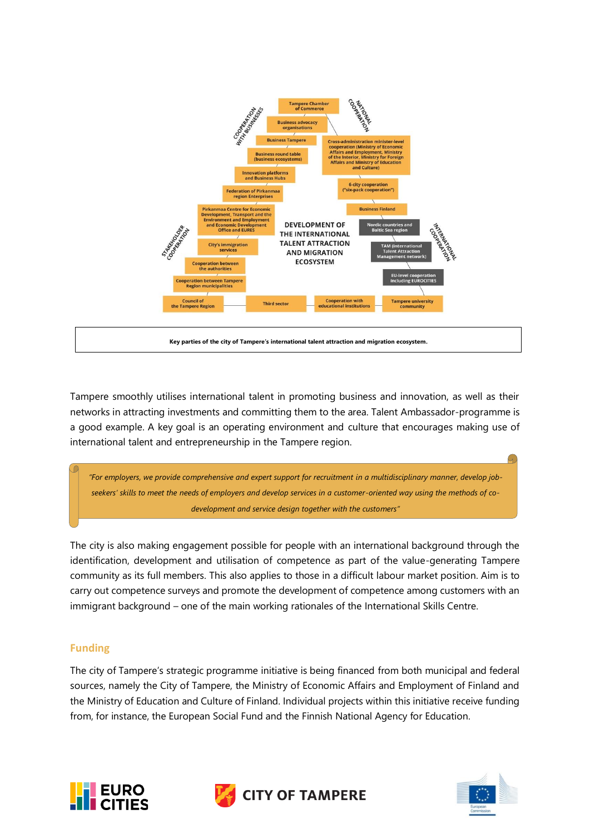

Tampere smoothly utilises international talent in promoting business and innovation, as well as their networks in attracting investments and committing them to the area. Talent Ambassador-programme is a good example. A key goal is an operating environment and culture that encourages making use of international talent and entrepreneurship in the Tampere region.

"For employers, we provide comprehensive and expert support for recruitment in a multidisciplinary manner, develop job*seekers' skills to meet the needs of employers and develop services in a customer-oriented way using the methods of codevelopment and service design together with the customers"*

The city is also making engagement possible for people with an international background through the identification, development and utilisation of competence as part of the value-generating Tampere community as its full members. This also applies to those in a difficult labour market position. Aim is to carry out competence surveys and promote the development of competence among customers with an immigrant background – one of the main working rationales of the International Skills Centre.

## **Funding**

The city of Tampere's strategic programme initiative is being financed from both municipal and federal sources, namely the City of Tampere, the Ministry of Economic Affairs and Employment of Finland and the Ministry of Education and Culture of Finland. Individual projects within this initiative receive funding from, for instance, the European Social Fund and the Finnish National Agency for Education.





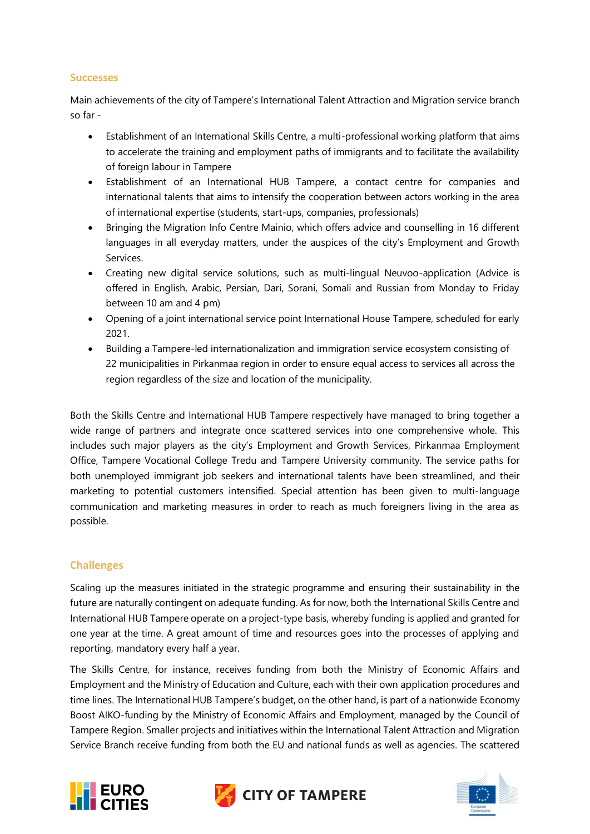#### **Successes**

Main achievements of the city of Tampere's International Talent Attraction and Migration service branch so far -

- Establishment of an International Skills Centre, a multi-professional working platform that aims to accelerate the training and employment paths of immigrants and to facilitate the availability of foreign labour in Tampere
- Establishment of an International HUB Tampere, a contact centre for companies and international talents that aims to intensify the cooperation between actors working in the area of international expertise (students, start-ups, companies, professionals)
- Bringing the Migration Info Centre Mainio, which offers advice and counselling in 16 different languages in all everyday matters, under the auspices of the city's Employment and Growth Services.
- Creating new digital service solutions, such as multi-lingual Neuvoo-application (Advice is offered in English, Arabic, Persian, Dari, Sorani, Somali and Russian from Monday to Friday between 10 am and 4 pm)
- Opening of a joint international service point International House Tampere, scheduled for early 2021.
- Building a Tampere-led internationalization and immigration service ecosystem consisting of 22 municipalities in Pirkanmaa region in order to ensure equal access to services all across the region regardless of the size and location of the municipality.

Both the Skills Centre and International HUB Tampere respectively have managed to bring together a wide range of partners and integrate once scattered services into one comprehensive whole. This includes such major players as the city's Employment and Growth Services, Pirkanmaa Employment Office, Tampere Vocational College Tredu and Tampere University community. The service paths for both unemployed immigrant job seekers and international talents have been streamlined, and their marketing to potential customers intensified. Special attention has been given to multi-language communication and marketing measures in order to reach as much foreigners living in the area as possible.

## **Challenges**

Scaling up the measures initiated in the strategic programme and ensuring their sustainability in the future are naturally contingent on adequate funding. As for now, both the International Skills Centre and International HUB Tampere operate on a project-type basis, whereby funding is applied and granted for one year at the time. A great amount of time and resources goes into the processes of applying and reporting, mandatory every half a year.

The Skills Centre, for instance, receives funding from both the Ministry of Economic Affairs and Employment and the Ministry of Education and Culture, each with their own application procedures and time lines. The International HUB Tampere's budget, on the other hand, is part of a nationwide Economy Boost AIKO-funding by the Ministry of Economic Affairs and Employment, managed by the Council of Tampere Region. Smaller projects and initiatives within the International Talent Attraction and Migration Service Branch receive funding from both the EU and national funds as well as agencies. The scattered